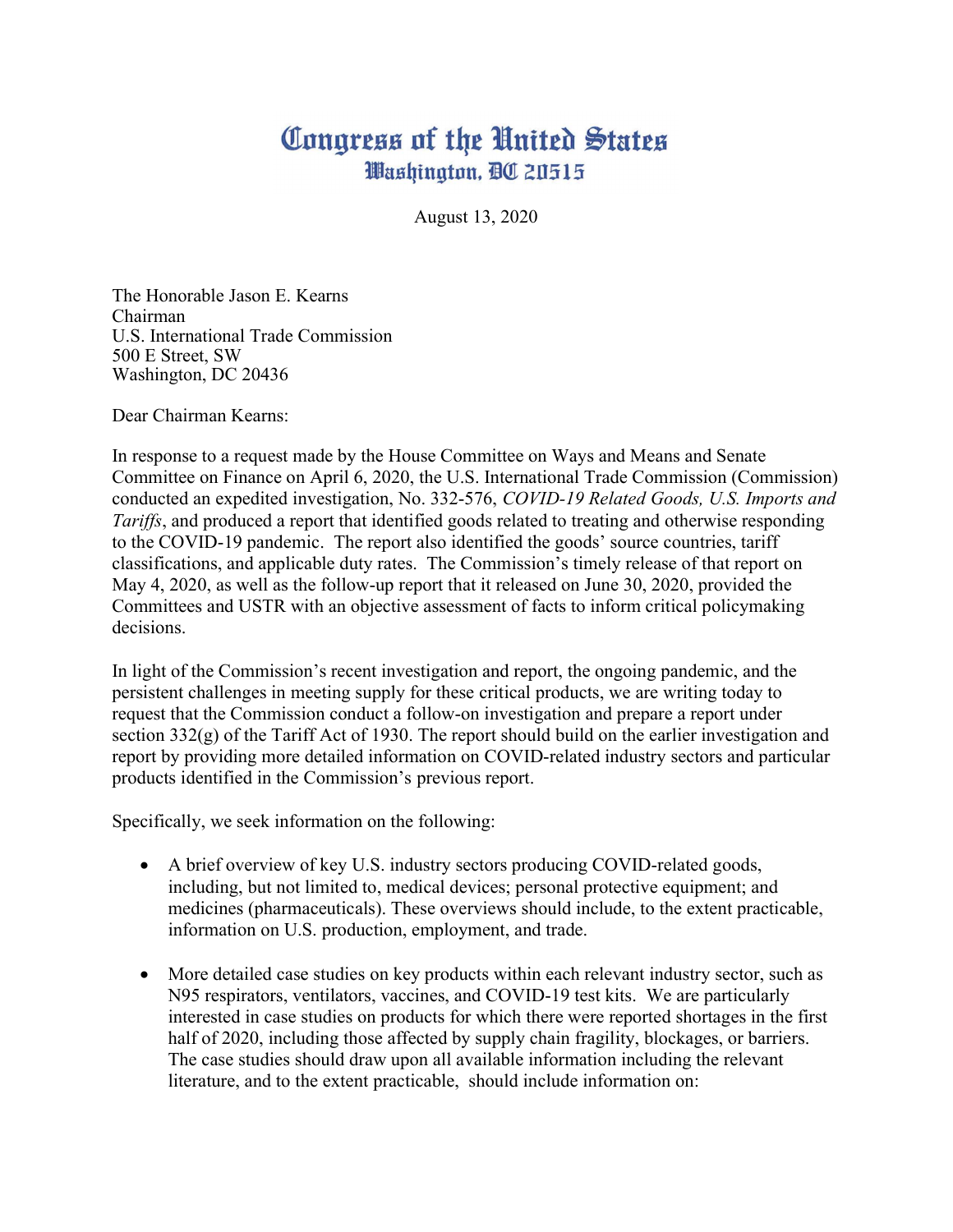## Congress of the United States Washington, DC 20515

August 13, 2020

The Honorable Jason E. Kearns Chairman U.S. International Trade Commission 500 E Street, SW Washington, DC 20436

Dear Chairman Kearns:

In response to a request made by the House Committee on Ways and Means and Senate Committee on Finance on April 6, 2020, the U.S. International Trade Commission (Commission) conducted an expedited investigation, No. 332-576, COVID-19 Related Goods, U.S. Imports and Tariffs, and produced a report that identified goods related to treating and otherwise responding to the COVID-19 pandemic. The report also identified the goods' source countries, tariff classifications, and applicable duty rates. The Commission's timely release of that report on May 4, 2020, as well as the follow-up report that it released on June 30, 2020, provided the Committees and USTR with an objective assessment of facts to inform critical policymaking decisions.

In light of the Commission's recent investigation and report, the ongoing pandemic, and the persistent challenges in meeting supply for these critical products, we are writing today to request that the Commission conduct a follow-on investigation and prepare a report under section 332(g) of the Tariff Act of 1930. The report should build on the earlier investigation and report by providing more detailed information on COVID-related industry sectors and particular products identified in the Commission's previous report.

Specifically, we seek information on the following:

- A brief overview of key U.S. industry sectors producing COVID-related goods, including, but not limited to, medical devices; personal protective equipment; and medicines (pharmaceuticals). These overviews should include, to the extent practicable, information on U.S. production, employment, and trade.
- More detailed case studies on key products within each relevant industry sector, such as N95 respirators, ventilators, vaccines, and COVID-19 test kits. We are particularly interested in case studies on products for which there were reported shortages in the first half of 2020, including those affected by supply chain fragility, blockages, or barriers. The case studies should draw upon all available information including the relevant literature, and to the extent practicable, should include information on: